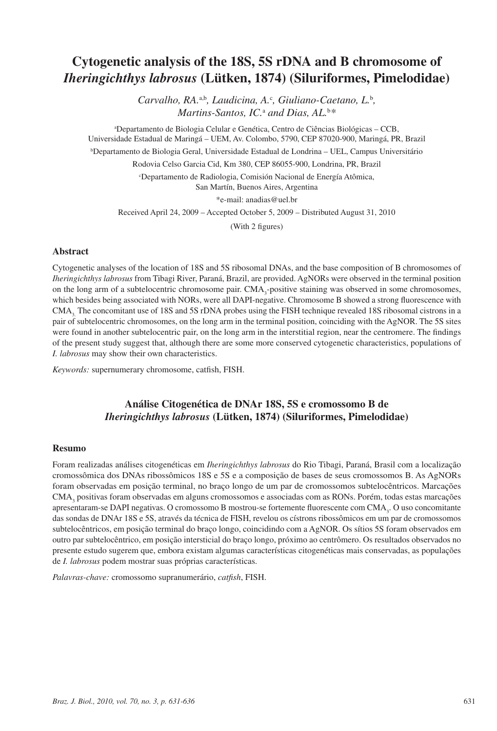# **Cytogenetic analysis of the 18S, 5S rDNA and B chromosome of**  *Iheringichthys labrosus* **(Lütken, 1874) (Siluriformes, Pimelodidae)**

*Carvalho, RA.<sup>a,b</sup>, Laudicina, A.<sup>c</sup>, Giuliano-Caetano, L.<sup>b</sup>, Martins-Santos, IC.*<sup>a</sup>  *and Dias, AL.*<sup>b</sup> *\**

a Departamento de Biologia Celular e Genética, Centro de Ciências Biológicas – CCB, Universidade Estadual de Maringá – UEM, Av. Colombo, 5790, CEP 87020-900, Maringá, PR, Brazil b Departamento de Biologia Geral, Universidade Estadual de Londrina – UEL, Campus Universitário Rodovia Celso Garcia Cid, Km 380, CEP 86055-900, Londrina, PR, Brazil c Departamento de Radiologia, Comisión Nacional de Energía Atômica, San Martín, Buenos Aires, Argentina \*e-mail: anadias@uel.br Received April 24, 2009 – Accepted October 5, 2009 – Distributed August 31, 2010

(With 2 figures)

### **Abstract**

Cytogenetic analyses of the location of 18S and 5S ribosomal DNAs, and the base composition of B chromosomes of *Iheringichthys labrosus* from Tibagi River, Paraná, Brazil, are provided. AgNORs were observed in the terminal position on the long arm of a subtelocentric chromosome pair. CMA<sub>3</sub>-positive staining was observed in some chromosomes, which besides being associated with NORs, were all DAPI-negative. Chromosome B showed a strong fluorescence with CMA, The concomitant use of 18S and 5S rDNA probes using the FISH technique revealed 18S ribosomal cistrons in a pair of subtelocentric chromosomes, on the long arm in the terminal position, coinciding with the AgNOR. The 5S sites were found in another subtelocentric pair, on the long arm in the interstitial region, near the centromere. The findings of the present study suggest that, although there are some more conserved cytogenetic characteristics, populations of *I. labrosus* may show their own characteristics.

*Keywords:* supernumerary chromosome, catfish, FISH.

# **Análise Citogenética de DNAr 18S, 5S e cromossomo B de**  *Iheringichthys labrosus* **(Lütken, 1874) (Siluriformes, Pimelodidae)**

#### **Resumo**

Foram realizadas análises citogenéticas em *Iheringichthys labrosus* do Rio Tibagi, Paraná, Brasil com a localização cromossômica dos DNAs ribossômicos 18S e 5S e a composição de bases de seus cromossomos B. As AgNORs foram observadas em posição terminal, no braço longo de um par de cromossomos subtelocêntricos. Marcações CMA<sub>3</sub> positivas foram observadas em alguns cromossomos e associadas com as RONs. Porém, todas estas marcações apresentaram-se DAPI negativas. O cromossomo B mostrou-se fortemente fluorescente com CMA<sub>3</sub>. O uso concomitante das sondas de DNAr 18S e 5S, através da técnica de FISH, revelou os cístrons ribossômicos em um par de cromossomos subtelocêntricos, em posição terminal do braço longo, coincidindo com a AgNOR. Os sítios 5S foram observados em outro par subtelocêntrico, em posição intersticial do braço longo, próximo ao centrômero. Os resultados observados no presente estudo sugerem que, embora existam algumas características citogenéticas mais conservadas, as populações de *I. labrosus* podem mostrar suas próprias características.

*Palavras-chave:* cromossomo supranumerário, *catfish*, FISH.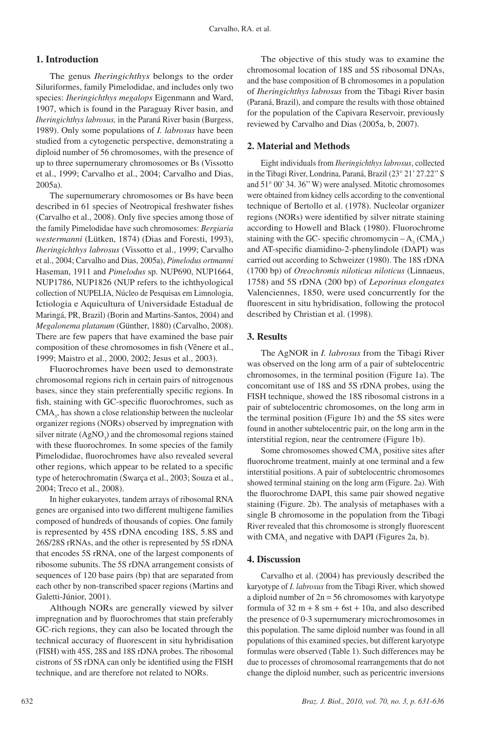### **1. Introduction**

The genus *Iheringichthys* belongs to the order Siluriformes, family Pimelodidae, and includes only two species: *Iheringichthys megalops* Eigenmann and Ward, 1907, which is found in the Paraguay River basin, and *Iheringichthys labrosus,* in the Paraná River basin (Burgess, 1989). Only some populations of *I. labrosus* have been studied from a cytogenetic perspective, demonstrating a diploid number of 56 chromosomes, with the presence of up to three supernumerary chromosomes or Bs (Vissotto et al., 1999; Carvalho et al., 2004; Carvalho and Dias, 2005a).

The supernumerary chromosomes or Bs have been described in 61 species of Neotropical freshwater fishes (Carvalho et al., 2008). Only five species among those of the family Pimelodidae have such chromosomes: *Bergiaria westermanni* (Lütken, 1874) (Dias and Foresti, 1993), *Iheringichthys labrosus* (Vissotto et al., 1999; Carvalho et al., 2004; Carvalho and Dias, 2005a), *Pimelodus ortmanni* Haseman, 1911 and *Pimelodus* sp. NUP690, NUP1664, NUP1786, NUP1826 (NUP refers to the ichthyological collection of NUPELIA, Núcleo de Pesquisas em Limnologia, Ictiologia e Aquicultura of Universidade Estadual de Maringá, PR, Brazil) (Borin and Martins-Santos, 2004) and *Megalonema platanum* (Günther, 1880) (Carvalho, 2008). There are few papers that have examined the base pair composition of these chromosomes in fish (Vênere et al., 1999; Maistro et al., 2000, 2002; Jesus et al., 2003).

Fluorochromes have been used to demonstrate chromosomal regions rich in certain pairs of nitrogenous bases, since they stain preferentially specific regions. In fish, staining with GC-specific fluorochromes, such as  $CMA<sub>3</sub>$ , has shown a close relationship between the nucleolar organizer regions (NORs) observed by impregnation with silver nitrate  $(AgNO<sub>3</sub>)$  and the chromosomal regions stained with these fluorochromes. In some species of the family Pimelodidae, fluorochromes have also revealed several other regions, which appear to be related to a specific type of heterochromatin (Swarça et al., 2003; Souza et al., 2004; Treco et al., 2008).

In higher eukaryotes, tandem arrays of ribosomal RNA genes are organised into two different multigene families composed of hundreds of thousands of copies. One family is represented by 45S rDNA encoding 18S, 5.8S and 26S/28S rRNAs, and the other is represented by 5S rDNA that encodes 5S rRNA, one of the largest components of ribosome subunits. The 5S rDNA arrangement consists of sequences of 120 base pairs (bp) that are separated from each other by non-transcribed spacer regions (Martins and Galetti-Júnior, 2001).

Although NORs are generally viewed by silver impregnation and by fluorochromes that stain preferably GC-rich regions, they can also be located through the technical accuracy of fluorescent in situ hybridisation (FISH) with 45S, 28S and 18S rDNA probes. The ribosomal cistrons of 5S rDNA can only be identified using the FISH technique, and are therefore not related to NORs.

The objective of this study was to examine the chromosomal location of 18S and 5S ribosomal DNAs, and the base composition of B chromosomes in a population of *Iheringichthys labrosus* from the Tibagi River basin (Paraná, Brazil), and compare the results with those obtained for the population of the Capivara Reservoir, previously reviewed by Carvalho and Dias (2005a, b, 2007).

### **2. Material and Methods**

Eight individuals from *Iheringichthys labrosus*, collected in the Tibagi River, Londrina, Paraná, Brazil (23° 21' 27.22'' S and 51° 00' 34. 36'' W) were analysed. Mitotic chromosomes were obtained from kidney cells according to the conventional technique of Bertollo et al. (1978). Nucleolar organizer regions (NORs) were identified by silver nitrate staining according to Howell and Black (1980). Fluorochrome staining with the GC- specific chromomycin  $-A_3$  (CMA<sub>3</sub>) and AT-specific diamidino-2-phenylindole (DAPI) was carried out according to Schweizer (1980). The 18S rDNA (1700 bp) of *Oreochromis niloticus niloticus* (Linnaeus, 1758) and 5S rDNA (200 bp) of *Leporinus elongates*  Valenciennes, 1850, were used concurrently for the fluorescent in situ hybridisation, following the protocol described by Christian et al. (1998).

### **3. Results**

The AgNOR in *I. labrosus* from the Tibagi River was observed on the long arm of a pair of subtelocentric chromosomes, in the terminal position (Figure 1a). The concomitant use of 18S and 5S rDNA probes, using the FISH technique, showed the 18S ribosomal cistrons in a pair of subtelocentric chromosomes, on the long arm in the terminal position (Figure 1b) and the 5S sites were found in another subtelocentric pair, on the long arm in the interstitial region, near the centromere (Figure 1b).

Some chromosomes showed  $\text{CMA}_3$  positive sites after fluorochrome treatment, mainly at one terminal and a few interstitial positions. A pair of subtelocentric chromosomes showed terminal staining on the long arm (Figure. 2a). With the fluorochrome DAPI, this same pair showed negative staining (Figure. 2b). The analysis of metaphases with a single B chromosome in the population from the Tibagi River revealed that this chromosome is strongly fluorescent with  $CMA<sub>3</sub>$  and negative with DAPI (Figures 2a, b).

#### **4. Discussion**

Carvalho et al. (2004) has previously described the karyotype of *I. labrosus* from the Tibagi River, which showed a diploid number of  $2n = 56$  chromosomes with karyotype formula of  $32 \text{ m} + 8 \text{ s} + 6 \text{ s} + 10 \text{ a}$ , and also described the presence of 0-3 supernumerary microchromosomes in this population. The same diploid number was found in all populations of this examined species, but different karyotype formulas were observed (Table 1). Such differences may be due to processes of chromosomal rearrangements that do not change the diploid number, such as pericentric inversions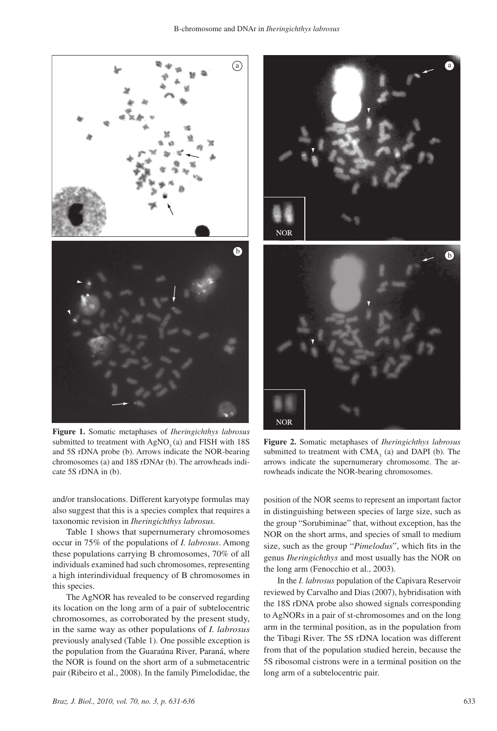

**Figure 1.** Somatic metaphases of *Iheringichthys labrosus* submitted to treatment with  $AgNO<sub>2</sub> (a)$  and FISH with 18S and 5S rDNA probe (b). Arrows indicate the NOR-bearing chromosomes (a) and 18S rDNAr (b). The arrowheads indicate 5S rDNA in (b).

and/or translocations. Different karyotype formulas may also suggest that this is a species complex that requires a taxonomic revision in *Iheringichthys labrosus.*

Table 1 shows that supernumerary chromosomes occur in 75% of the populations of *I. labrosus*. Among these populations carrying B chromosomes, 70% of all individuals examined had such chromosomes, representing a high interindividual frequency of B chromosomes in this species.

The AgNOR has revealed to be conserved regarding its location on the long arm of a pair of subtelocentric chromosomes, as corroborated by the present study, in the same way as other populations of *I. labrosus* previously analysed (Table 1). One possible exception is the population from the Guaraúna River, Paraná, where the NOR is found on the short arm of a submetacentric pair (Ribeiro et al., 2008). In the family Pimelodidae, the



**Figure 2.** Somatic metaphases of *Iheringichthys labrosus* submitted to treatment with  $CMA<sub>3</sub>$  (a) and DAPI (b). The arrows indicate the supernumerary chromosome. The arrowheads indicate the NOR-bearing chromosomes.

**NOR** 

position of the NOR seems to represent an important factor in distinguishing between species of large size, such as the group "Sorubiminae" that, without exception, has the NOR on the short arms, and species of small to medium size, such as the group "*Pimelodus*", which fits in the genus *Iheringichthys* and most usually has the NOR on the long arm (Fenocchio et al., 2003).

In the *I. labrosus* population of the Capivara Reservoir reviewed by Carvalho and Dias (2007), hybridisation with the 18S rDNA probe also showed signals corresponding to AgNORs in a pair of st-chromosomes and on the long arm in the terminal position, as in the population from the Tibagi River. The 5S rDNA location was different from that of the population studied herein, because the 5S ribosomal cistrons were in a terminal position on the long arm of a subtelocentric pair.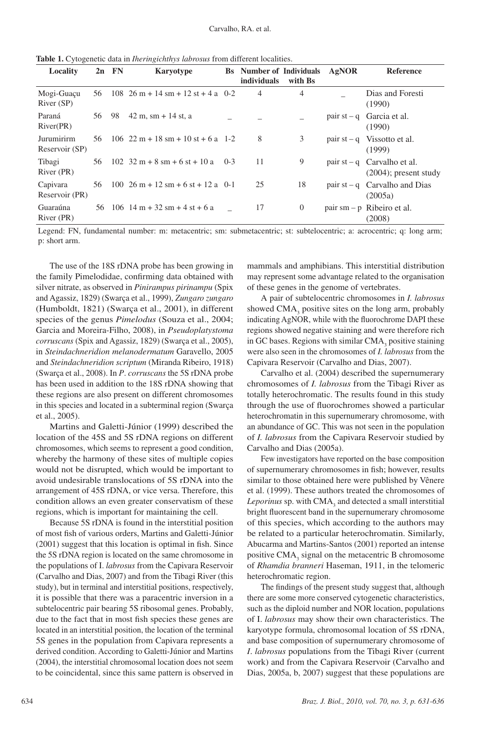| Locality                     |    | $2n$ FN | Karyotype                                                                     |       | <b>Bs</b> Number of Individuals<br>individuals | with Bs      | AgNOR | <b>Reference</b>                                          |
|------------------------------|----|---------|-------------------------------------------------------------------------------|-------|------------------------------------------------|--------------|-------|-----------------------------------------------------------|
| Mogi-Guaçu<br>River (SP)     | 56 |         | $108 \quad 26 \text{ m} + 14 \text{ sm} + 12 \text{ st} + 4 \text{ a } 0 - 2$ |       | 4                                              | 4            |       | Dias and Foresti<br>(1990)                                |
| Paraná<br>River(PR)          | 56 | 98      | $42 m$ , sm + 14 st, a                                                        |       |                                                |              |       | pair $st - q$ Garcia et al.<br>(1990)                     |
| Jurumirirm<br>Reservoir (SP) | 56 |         | $106 \quad 22 \text{ m} + 18 \text{ s} + 10 \text{ s} + 6 \text{ a } 1 - 2$   |       | 8                                              | 3            |       | pair $st - q$ Vissotto et al.<br>(1999)                   |
| Tibagi<br>River (PR)         | 56 |         | $102 \quad 32 \text{ m} + 8 \text{ sm} + 6 \text{ st} + 10 \text{ a}$         | $0-3$ | 11                                             | 9            |       | pair $st - q$ Carvalho et al.<br>$(2004)$ ; present study |
| Capivara<br>Reservoir (PR)   | 56 |         | $100 \t26 m + 12 sm + 6 st + 12 a \t0-1$                                      |       | 25                                             | 18           |       | pair $st - q$ Carvalho and Dias<br>(2005a)                |
| Guaraúna<br>River (PR)       | 56 |         | $106$ 14 m + 32 sm + 4 st + 6 a                                               |       | 17                                             | $\mathbf{0}$ |       | pair $sm - p$ Ribeiro et al.<br>(2008)                    |

**Table 1.** Cytogenetic data in *Iheringichthys labrosus* from different localities.

Legend: FN, fundamental number: m: metacentric; sm: submetacentric; st: subtelocentric; a: acrocentric; q: long arm; p: short arm.

The use of the 18S rDNA probe has been growing in the family Pimelodidae, confirming data obtained with silver nitrate, as observed in *Pinirampus pirinampu* (Spix and Agassiz, 1829) (Swarça et al., 1999), *Zungaro zungaro* (Humboldt, 1821) (Swarça et al., 2001), in different species of the genus *Pimelodus* (Souza et al., 2004; Garcia and Moreira-Filho, 2008), in *Pseudoplatystoma corruscans* (Spix and Agassiz, 1829) (Swarça et al., 2005), in *Steindachneridion melanodermatum* Garavello, 2005 and *Steindachneridion scriptum* (Miranda Ribeiro, 1918) (Swarça et al., 2008). In *P*. *corruscans* the 5S rDNA probe has been used in addition to the 18S rDNA showing that these regions are also present on different chromosomes in this species and located in a subterminal region (Swarça et al., 2005).

Martins and Galetti-Júnior (1999) described the location of the 45S and 5S rDNA regions on different chromosomes, which seems to represent a good condition, whereby the harmony of these sites of multiple copies would not be disrupted, which would be important to avoid undesirable translocations of 5S rDNA into the arrangement of 45S rDNA, or vice versa. Therefore, this condition allows an even greater conservatism of these regions, which is important for maintaining the cell.

Because 5S rDNA is found in the interstitial position of most fish of various orders, Martins and Galetti-Júnior (2001) suggest that this location is optimal in fish. Since the 5S rDNA region is located on the same chromosome in the populations of I. *labrosus* from the Capivara Reservoir (Carvalho and Dias, 2007) and from the Tibagi River (this study), but in terminal and interstitial positions, respectively, it is possible that there was a paracentric inversion in a subtelocentric pair bearing 5S ribosomal genes. Probably, due to the fact that in most fish species these genes are located in an interstitial position, the location of the terminal 5S genes in the population from Capivara represents a derived condition. According to Galetti-Júnior and Martins (2004), the interstitial chromosomal location does not seem to be coincidental, since this same pattern is observed in mammals and amphibians. This interstitial distribution may represent some advantage related to the organisation of these genes in the genome of vertebrates.

A pair of subtelocentric chromosomes in *I. labrosus* showed  $CMA<sub>3</sub>$  positive sites on the long arm, probably indicating AgNOR, while with the fluorochrome DAPI these regions showed negative staining and were therefore rich in GC bases. Regions with similar  $CMA<sub>3</sub>$  positive staining were also seen in the chromosomes of *I. labrosus* from the Capivara Reservoir (Carvalho and Dias, 2007).

Carvalho et al. (2004) described the supernumerary chromosomes of *I. labrosus* from the Tibagi River as totally heterochromatic. The results found in this study through the use of fluorochromes showed a particular heterochromatin in this supernumerary chromosome, with an abundance of GC. This was not seen in the population of *I. labrosus* from the Capivara Reservoir studied by Carvalho and Dias (2005a).

Few investigators have reported on the base composition of supernumerary chromosomes in fish; however, results similar to those obtained here were published by Vênere et al. (1999). These authors treated the chromosomes of Leporinus sp. with CMA<sub>3</sub> and detected a small interstitial bright fluorescent band in the supernumerary chromosome of this species, which according to the authors may be related to a particular heterochromatin. Similarly, Abucarma and Martins-Santos (2001) reported an intense positive  $\text{CMA}_3$  signal on the metacentric B chromosome of *Rhamdia branneri* Haseman, 1911, in the telomeric heterochromatic region.

The findings of the present study suggest that, although there are some more conserved cytogenetic characteristics, such as the diploid number and NOR location, populations of I. *labrosus* may show their own characteristics. The karyotype formula, chromosomal location of 5S rDNA, and base composition of supernumerary chromosome of *I*. *labrosus* populations from the Tibagi River (current work) and from the Capivara Reservoir (Carvalho and Dias, 2005a, b, 2007) suggest that these populations are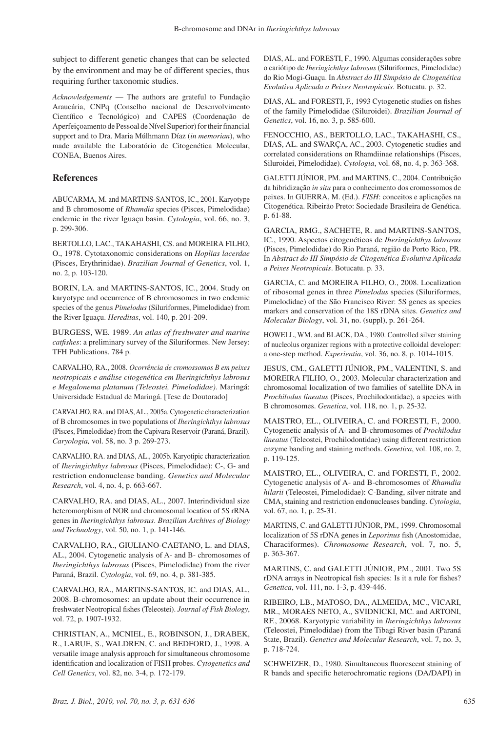subject to different genetic changes that can be selected by the environment and may be of different species, thus requiring further taxonomic studies.

*Acknowledgements* — The authors are grateful to Fundação Araucária, CNPq (Conselho nacional de Desenvolvimento Científico e Tecnológico) and CAPES (Coordenação de Aperfeiçoamento de Pessoal de Nível Superior) for their financial support and to Dra. Maria Múlhmann Díaz (*in memorian*), who made available the Laboratório de Citogenética Molecular, CONEA, Buenos Aires.

## **References**

ABUCARMA, M. and MARTINS-SANTOS, IC., 2001. Karyotype and B chromosome of *Rhamdia* species (Pisces, Pimelodidae) endemic in the river Iguaçu basin. *Cytologia*, vol. 66, no. 3, p. 299-306.

BERTOLLO, LAC., TAKAHASHI, CS. and MOREIRA FILHO, O., 1978. Cytotaxonomic considerations on *Hoplias lacerdae* (Pisces, Erythrinidae). *Brazilian Journal of Genetics*, vol. 1, no. 2, p. 103-120.

BORIN, LA. and MARTINS-SANTOS, IC., 2004. Study on karyotype and occurrence of B chromosomes in two endemic species of the genus *Pimelodus* (Siluriformes, Pimelodidae) from the River Iguaçu. *Hereditas*, vol. 140, p. 201-209.

Burgess, WE. 1989. *An atlas of freshwater and marine catfishes*: a preliminary survey of the Siluriformes. New Jersey: TFH Publications. 784 p.

Carvalho, RA., 2008. *Ocorrência de cromossomos B em peixes neotropicais e análise citogenética em Iheringichthys labrosus e Megalonema platanum (Teleostei, Pimelodidae)*. Maringá: Universidade Estadual de Maringá. [Tese de Doutorado]

Carvalho, RA. and Dias, AL., 2005a. Cytogenetic characterization of B chromosomes in two populations of *Iheringichthys labrosus* (Pisces, Pimelodidae) from the Capivara Reservoir (Paraná, Brazil). *Caryologia,* vol. 58, no. 3 p. 269-273.

CARVALHO, RA. and DIAS, AL., 2005b. Karyotipic characterization of *Iheringichthys labrosus* (Pisces, Pimelodidae): C-, G- and restriction endonuclease banding. *Genetics and Molecular Research*, vol. 4, no. 4, p. 663-667.

CARVALHO, RA. and DIAS, AL., 2007. Interindividual size heteromorphism of NOR and chromosomal location of 5S rRNA genes in *Iheringichthys labrosus*. *Brazilian Archives of Biology and Technology*, vol. 50, no. 1, p. 141-146.

Carvalho, RA., Giuliano-Caetano, L. and Dias, AL., 2004. Cytogenetic analysis of A- and B- chromosomes of *Iheringichthys labrosus* (Pisces, Pimelodidae) from the river Paraná, Brazil. *Cytologia*, vol. 69, no. 4, p. 381-385.

Carvalho, RA., Martins-Santos, IC. and Dias, AL., 2008. B-chromosomes: an update about their occurrence in freshwater Neotropical fishes (Teleostei). *Journal of Fish Biology*, vol. 72, p. 1907-1932.

Christian, A., McNiel, E., Robinson, J., Drabek, R., LaRue, S., Waldren, C. and Bedford, J., 1998. A versatile image analysis approach for simultaneous chromosome identification and localization of FISH probes. *Cytogenetics and Cell Genetics*, vol. 82, no. 3-4, p. 172-179.

Dias, AL. and Foresti, F., 1990. Algumas considerações sobre o cariótipo de *Iheringichthys labrosus* (Siluriformes, Pimelodidae) do Rio Mogi-Guaçu. In *Abstract do III Simpósio de Citogenética Evolutiva Aplicada a Peixes Neotropicais*. Botucatu. p. 32.

DIAS, AL. and FORESTI, F., 1993 Cytogenetic studies on fishes of the family Pimelodidae (Siluroidei). *Brazilian Journal of Genetics*, vol. 16, no. 3, p. 585-600.

Fenocchio, AS., Bertollo, LAC., Takahashi, CS., DIAS, AL. and SWARÇA, AC., 2003. Cytogenetic studies and correlated considerations on Rhamdiinae relationships (Pisces, Siluroidei, Pimelodidae). *Cytologia*, vol. 68, no. 4, p. 363-368.

GALETTI JÚNIOR, PM. and MARTINS, C., 2004. Contribuição da hibridização *in situ* para o conhecimento dos cromossomos de peixes. In GUERRA, M. (Ed.). *FISH*: conceitos e aplicações na Citogenética. Ribeirão Preto: Sociedade Brasileira de Genética. p. 61-88.

Garcia, RMG., Sachete, R. and Martins-Santos, IC., 1990. Aspectos citogenéticos de *Iheringichthys labrosus*  (Pisces, Pimelodidae) do Rio Paraná, região de Porto Rico, PR. In *Abstract do III Simpósio de Citogenética Evolutiva Aplicada a Peixes Neotropicais*. Botucatu. p. 33.

GARCIA, C. and MOREIRA FILHO, O., 2008. Localization of ribosomal genes in three *Pimelodus* species (Siluriformes, Pimelodidae) of the São Francisco River: 5S genes as species markers and conservation of the 18S rDNA sites. *Genetics and Molecular Biology*, vol. 31, no. (suppl), p. 261-264.

HOWELL, WM. and BLACK, DA., 1980. Controlled silver staining of nucleolus organizer regions with a protective colloidal developer: a one-step method. *Experientia*, vol. 36, no. 8, p. 1014-1015.

Jesus, CM., Galetti Júnior, PM., Valentini, S. and MOREIRA FILHO, O., 2003. Molecular characterization and chromosomal localization of two families of satellite DNA in *Prochilodus lineatus* (Pisces, Prochilodontidae), a species with B chromosomes. *Genetica*, vol. 118, no. 1, p. 25-32.

Maistro, EL., Oliveira, C. and Foresti, F., 2000. Cytogenetic analysis of A- and B-chromosomes of *Prochilodus lineatus* (Teleostei, Prochilodontidae) using different restriction enzyme banding and staining methods. *Genetica*, vol. 108, no. 2, p. 119-125.

Maistro, EL., Oliveira, C. and Foresti, F., 2002. Cytogenetic analysis of A- and B-chromosomes of *Rhamdia hilarii* (Teleostei, Pimelodidae): C-Banding, silver nitrate and CMA<sub>3</sub> staining and restriction endonucleases banding. *Cytologia*, vol. 67, no. 1, p. 25-31.

MARTINS, C. and GALETTI JÚNIOR, PM., 1999. Chromosomal localization of 5S rDNA genes in *Leporinus* fish (Anostomidae, Characiformes). *Chromosome Research*, vol. 7, no. 5, p. 363-367.

MARTINS, C. and GALETTI JÚNIOR, PM., 2001. Two 5S rDNA arrays in Neotropical fish species: Is it a rule for fishes? *Genetica*, vol. 111, no. 1-3, p. 439-446.

Ribeiro, LB., MATOSO, DA., ALMEIDA, MC., VICARI, MR., MORAES NETO, A., SVIDNICKI, MC. and ARTONI, RF., 20068. Karyotypic variability in *Iheringichthys labrosus*  (Teleostei, Pimelodidae) from the Tibagi River basin (Paraná State, Brazil). *Genetics and Molecular Research*, vol. 7, no. 3, p. 718-724.

SCHWEIZER, D., 1980. Simultaneous fluorescent staining of R bands and specific heterochromatic regions (DA/DAPI) in